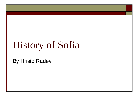# History of Sofia

By Hristo Radev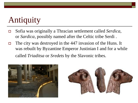## Antiquity

- Sofia was originally a Thracian settlement called *Serdica*, or *Sardica*, possibly named after the Celtic tribe Serdi .
- $\Box$  The city was destroyed in the 447 invasion of the Huns. It was rebuilt by Byzantine Emperor Justinian I and for a while called *Triaditsa* or *Sredets* by the Slavonic tribes.



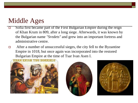#### Middle Ages

- Sofia first became part of the First Bulgarian Empire during the reign of Khan Krum in 809, after a long siege. Afterwards, it was known by the Bulgarian name *"Sredets"* and grew into an important fortress and administrative centre.
- □ After a number of unsuccessful sieges, the city fell to the Byzantine Empire in 1018, but once again was incorporated into the restored Bulgarian Empire at the time of Tsar Ivan Asen I.





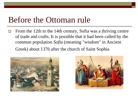### Before the Ottoman rule

 $\Box$  From the 12th to the 14th century, Sofia was a thriving centre of trade and crafts. It is possible that it had been called by the common population *Sofia* (meaning "wisdom" in Ancient Greek) about 1376 after the church of Saint Sophia



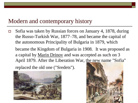#### Modern and contemporary history

 $\Box$  Sofia was taken by Russian forces on January 4, 1878, during the Russo-Turkish War, 1877–78, and became the capital of the autonomous Principality of Bulgaria in 1879, which became the Kingdom of Bulgaria in 1908. It was proposed as a capital by Marin Drinov and was accepted as such on 3 April 1879. After the Liberation War, the new name "Sofia" replaced the old one ("Sredets").